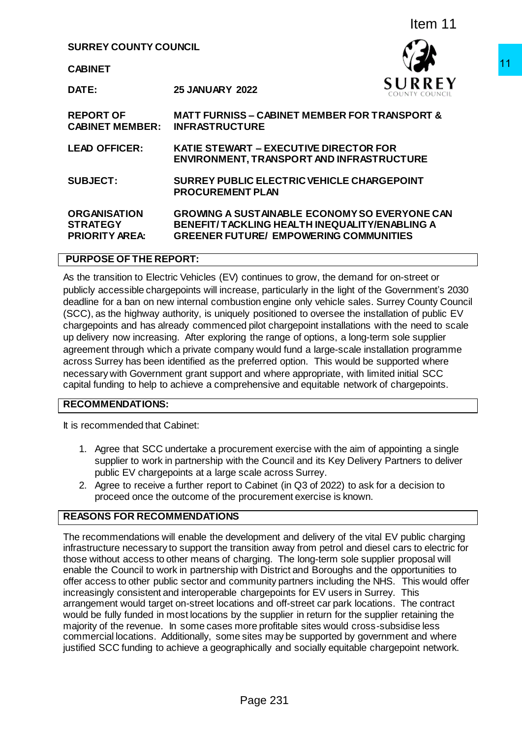## **SURREY COUNTY COUNCIL**



|                                                                 |                                                                                                                          | Item 11                                                                                                                                                                                                                                                                                                                                                                                                                                                                                                                                                                                                                                                                                                                                                                                                                                                                                                                                                                                      |
|-----------------------------------------------------------------|--------------------------------------------------------------------------------------------------------------------------|----------------------------------------------------------------------------------------------------------------------------------------------------------------------------------------------------------------------------------------------------------------------------------------------------------------------------------------------------------------------------------------------------------------------------------------------------------------------------------------------------------------------------------------------------------------------------------------------------------------------------------------------------------------------------------------------------------------------------------------------------------------------------------------------------------------------------------------------------------------------------------------------------------------------------------------------------------------------------------------------|
| <b>SURREY COUNTY COUNCIL</b>                                    |                                                                                                                          |                                                                                                                                                                                                                                                                                                                                                                                                                                                                                                                                                                                                                                                                                                                                                                                                                                                                                                                                                                                              |
| <b>CABINET</b>                                                  |                                                                                                                          |                                                                                                                                                                                                                                                                                                                                                                                                                                                                                                                                                                                                                                                                                                                                                                                                                                                                                                                                                                                              |
| DATE:                                                           | <b>25 JANUARY 2022</b>                                                                                                   |                                                                                                                                                                                                                                                                                                                                                                                                                                                                                                                                                                                                                                                                                                                                                                                                                                                                                                                                                                                              |
| <b>REPORT OF</b><br><b>CABINET MEMBER:</b>                      | <b>INFRASTRUCTURE</b>                                                                                                    | <b>MATT FURNISS – CABINET MEMBER FOR TRANSPORT &amp;</b>                                                                                                                                                                                                                                                                                                                                                                                                                                                                                                                                                                                                                                                                                                                                                                                                                                                                                                                                     |
| <b>LEAD OFFICER:</b>                                            | KATIE STEWART - EXECUTIVE DIRECTOR FOR                                                                                   | ENVIRONMENT, TRANSPORT AND INFRASTRUCTURE                                                                                                                                                                                                                                                                                                                                                                                                                                                                                                                                                                                                                                                                                                                                                                                                                                                                                                                                                    |
| <b>SUBJECT:</b>                                                 | <b>PROCUREMENT PLAN</b>                                                                                                  | SURREY PUBLIC ELECTRIC VEHICLE CHARGEPOINT                                                                                                                                                                                                                                                                                                                                                                                                                                                                                                                                                                                                                                                                                                                                                                                                                                                                                                                                                   |
| <b>ORGANISATION</b><br><b>STRATEGY</b><br><b>PRIORITY AREA:</b> | <b>GREENER FUTURE/ EMPOWERING COMMUNITIES</b>                                                                            | <b>GROWING A SUSTAINABLE ECONOMY SO EVERYONE CAN</b><br><b>BENEFIT/TACKLING HEALTH INEQUALITY/ENABLING A</b>                                                                                                                                                                                                                                                                                                                                                                                                                                                                                                                                                                                                                                                                                                                                                                                                                                                                                 |
| <b>PURPOSE OF THE REPORT:</b>                                   |                                                                                                                          |                                                                                                                                                                                                                                                                                                                                                                                                                                                                                                                                                                                                                                                                                                                                                                                                                                                                                                                                                                                              |
|                                                                 |                                                                                                                          | chargepoints and has already commenced pilot chargepoint installations with the need to scale<br>up delivery now increasing. After exploring the range of options, a long-term sole supplier<br>agreement through which a private company would fund a large-scale installation programme<br>across Surrey has been identified as the preferred option. This would be supported where<br>necessary with Government grant support and where appropriate, with limited initial SCC<br>capital funding to help to achieve a comprehensive and equitable network of chargepoints.                                                                                                                                                                                                                                                                                                                                                                                                                |
| <b>RECOMMENDATIONS:</b>                                         |                                                                                                                          |                                                                                                                                                                                                                                                                                                                                                                                                                                                                                                                                                                                                                                                                                                                                                                                                                                                                                                                                                                                              |
| t is recommended that Cabinet:                                  |                                                                                                                          |                                                                                                                                                                                                                                                                                                                                                                                                                                                                                                                                                                                                                                                                                                                                                                                                                                                                                                                                                                                              |
|                                                                 | public EV chargepoints at a large scale across Surrey.<br>proceed once the outcome of the procurement exercise is known. | 1. Agree that SCC undertake a procurement exercise with the aim of appointing a single<br>supplier to work in partnership with the Council and its Key Delivery Partners to deliver<br>2. Agree to receive a further report to Cabinet (in Q3 of 2022) to ask for a decision to                                                                                                                                                                                                                                                                                                                                                                                                                                                                                                                                                                                                                                                                                                              |
| <b>REASONS FOR RECOMMENDATIONS</b>                              |                                                                                                                          |                                                                                                                                                                                                                                                                                                                                                                                                                                                                                                                                                                                                                                                                                                                                                                                                                                                                                                                                                                                              |
|                                                                 | ncreasingly consistent and interoperable chargepoints for EV users in Surrey. This                                       | The recommendations will enable the development and delivery of the vital EV public charging<br>nfrastructure necessary to support the transition away from petrol and diesel cars to electric for<br>hose without access to other means of charging. The long-term sole supplier proposal will<br>enable the Council to work in partnership with District and Boroughs and the opportunities to<br>offer access to other public sector and community partners including the NHS. This would offer<br>arrangement would target on-street locations and off-street car park locations. The contract<br>would be fully funded in most locations by the supplier in return for the supplier retaining the<br>majority of the revenue. In some cases more profitable sites would cross-subsidise less<br>commercial locations. Additionally, some sites may be supported by government and where<br>ustified SCC funding to achieve a geographically and socially equitable chargepoint network. |
|                                                                 | Page 231                                                                                                                 |                                                                                                                                                                                                                                                                                                                                                                                                                                                                                                                                                                                                                                                                                                                                                                                                                                                                                                                                                                                              |

# **PURPOSE OF THE REPORT:**

## **RECOMMENDATIONS:**

- 1. Agree that SCC undertake a procurement exercise with the aim of appointing a single supplier to work in partnership with the Council and its Key Delivery Partners to deliver public EV chargepoints at a large scale across Surrey.
- 2. Agree to receive a further report to Cabinet (in Q3 of 2022) to ask for a decision to proceed once the outcome of the procurement exercise is known.

# **REASONS FOR RECOMMENDATIONS**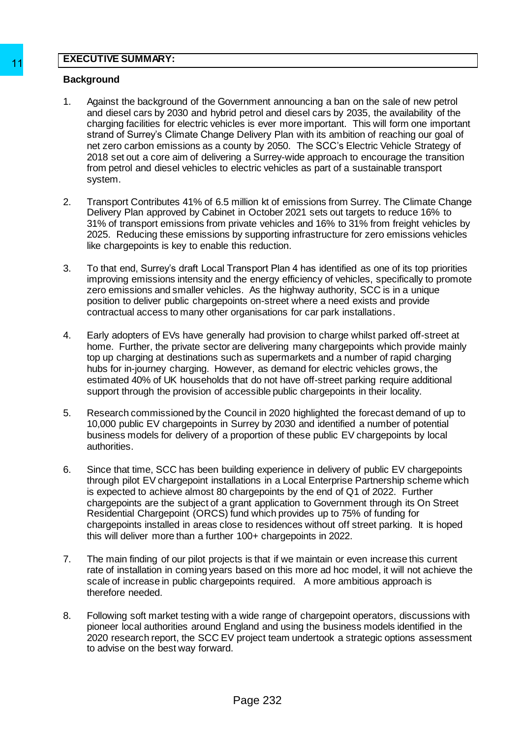#### **EXECUTIVE SUMMARY:**

#### **Background**

- 1. Against the background of the Government announcing a ban on the sale of new petrol and diesel cars by 2030 and hybrid petrol and diesel cars by 2035, the availability of the charging facilities for electric vehicles is ever more important. This will form one important strand of Surrey's Climate Change Delivery Plan with its ambition of reaching our goal of net zero carbon emissions as a county by 2050. The SCC's Electric Vehicle Strategy of 2018 set out a core aim of delivering a Surrey-wide approach to encourage the transition from petrol and diesel vehicles to electric vehicles as part of a sustainable transport system. 11<br>
Background<br>
11 Against the background of the Government and the Amplit and the Schots by 2003 and Myridi petrol and changing facilities for electric vehicles is ever<br>
11 changing facilities for electric vehicles is eve
	- 2. Transport Contributes 41% of 6.5 million kt of emissions from Surrey. The Climate Change Delivery Plan approved by Cabinet in October 2021 sets out targets to reduce 16% to 31% of transport emissions from private vehicles and 16% to 31% from freight vehicles by 2025. Reducing these emissions by supporting infrastructure for zero emissions vehicles like chargepoints is key to enable this reduction.
	- 3. To that end, Surrey's draft Local Transport Plan 4 has identified as one of its top priorities improving emissions intensity and the energy efficiency of vehicles, specifically to promote zero emissions and smaller vehicles. As the highway authority, SCC is in a unique position to deliver public chargepoints on-street where a need exists and provide contractual access to many other organisations for car park installations.
	- 4. Early adopters of EVs have generally had provision to charge whilst parked off-street at home. Further, the private sector are delivering many chargepoints which provide mainly top up charging at destinations such as supermarkets and a number of rapid charging hubs for in-journey charging. However, as demand for electric vehicles grows, the estimated 40% of UK households that do not have off-street parking require additional support through the provision of accessible public chargepoints in their locality.
	- 5. Research commissioned by the Council in 2020 highlighted the forecast demand of up to 10,000 public EV chargepoints in Surrey by 2030 and identified a number of potential business models for delivery of a proportion of these public EV chargepoints by local authorities.
	- 6. Since that time, SCC has been building experience in delivery of public EV chargepoints through pilot EV chargepoint installations in a Local Enterprise Partnership scheme which is expected to achieve almost 80 chargepoints by the end of Q1 of 2022. Further chargepoints are the subject of a grant application to Government through its On Street Residential Chargepoint (ORCS) fund which provides up to 75% of funding for chargepoints installed in areas close to residences without off street parking. It is hoped this will deliver more than a further 100+ chargepoints in 2022.
	- 7. The main finding of our pilot projects is that if we maintain or even increase this current rate of installation in coming years based on this more ad hoc model, it will not achieve the scale of increase in public chargepoints required. A more ambitious approach is therefore needed.
	- 8. Following soft market testing with a wide range of chargepoint operators, discussions with pioneer local authorities around England and using the business models identified in the 2020 research report, the SCC EV project team undertook a strategic options assessment to advise on the best way forward.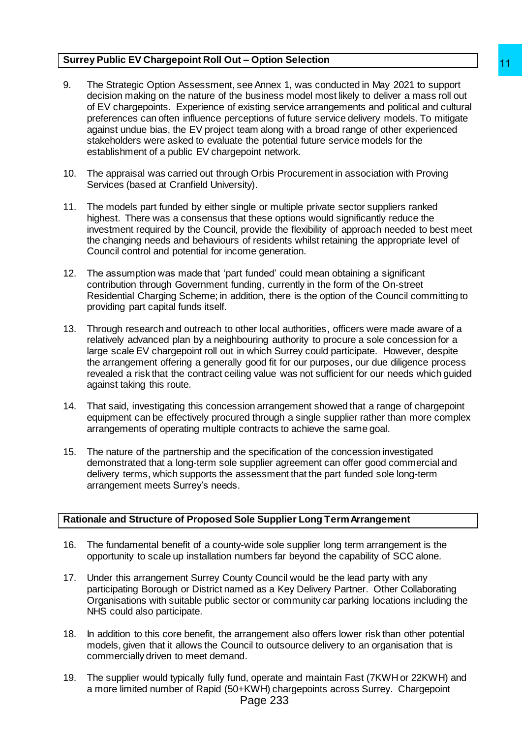## **Surrey Public EV Chargepoint Roll Out – Option Selection**

- 9. The Strategic Option Assessment, see Annex 1, was conducted in May 2021 to support decision making on the nature of the business model most likely to deliver a mass roll out of EV chargepoints. Experience of existing service arrangements and political and cultural preferences can often influence perceptions of future service delivery models. To mitigate against undue bias, the EV project team along with a broad range of other experienced stakeholders were asked to evaluate the potential future service models for the establishment of a public EV chargepoint network. The busine streament and order of the conditions in the paper and the paper and a conditions of thus served are an associated in the business model most likely to deliver a mass roll out also<br>designs of thure service deliv
- 10. The appraisal was carried out through Orbis Procurement in association with Proving Services (based at Cranfield University).
- 11. The models part funded by either single or multiple private sector suppliers ranked highest. There was a consensus that these options would significantly reduce the investment required by the Council, provide the flexibility of approach needed to best meet the changing needs and behaviours of residents whilst retaining the appropriate level of Council control and potential for income generation.
- 12. The assumption was made that 'part funded' could mean obtaining a significant contribution through Government funding, currently in the form of the On-street Residential Charging Scheme; in addition, there is the option of the Council committing to providing part capital funds itself.
- 13. Through research and outreach to other local authorities, officers were made aware of a relatively advanced plan by a neighbouring authority to procure a sole concession for a large scale EV chargepoint roll out in which Surrey could participate. However, despite the arrangement offering a generally good fit for our purposes, our due diligence process revealed a risk that the contract ceiling value was not sufficient for our needs which guided against taking this route.
- 14. That said, investigating this concession arrangement showed that a range of chargepoint equipment can be effectively procured through a single supplier rather than more complex arrangements of operating multiple contracts to achieve the same goal.
- 15. The nature of the partnership and the specification of the concession investigated demonstrated that a long-term sole supplier agreement can offer good commercial and delivery terms, which supports the assessment that the part funded sole long-term arrangement meets Surrey's needs.

## **Rationale and Structure of Proposed Sole Supplier Long Term Arrangement**

- 16. The fundamental benefit of a county-wide sole supplier long term arrangement is the opportunity to scale up installation numbers far beyond the capability of SCC alone.
- 17. Under this arrangement Surrey County Council would be the lead party with any participating Borough or District named as a Key Delivery Partner. Other Collaborating Organisations with suitable public sector or community car parking locations including the NHS could also participate.
- 18. In addition to this core benefit, the arrangement also offers lower risk than other potential models, given that it allows the Council to outsource delivery to an organisation that is commercially driven to meet demand.
- 19. The supplier would typically fully fund, operate and maintain Fast (7KWH or 22KWH) and a more limited number of Rapid (50+KWH) chargepoints across Surrey. Chargepoint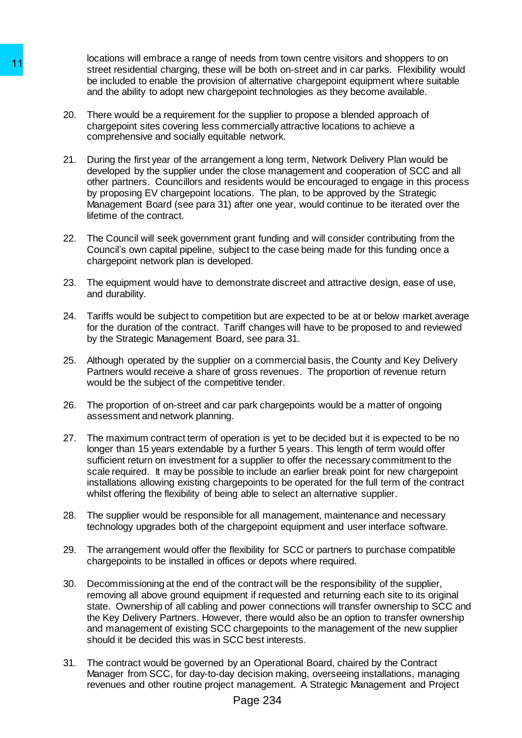locations will embrace a range of needs from town centre visitors and shoppers to on street residential charging, these will be both on-street and in car parks. Flexibility would be included to enable the provision of alternative chargepoint equipment where suitable and the ability to adopt new chargepoint technologies as they become available.

- 20. There would be a requirement for the supplier to propose a blended approach of chargepoint sites covering less commercially attractive locations to achieve a comprehensive and socially equitable network.
- 21. During the first year of the arrangement a long term, Network Delivery Plan would be developed by the supplier under the close management and cooperation of SCC and all other partners. Councillors and residents would be encouraged to engage in this process by proposing EV chargepoint locations. The plan, to be approved by the Strategic Management Board (see para 31) after one year, would continue to be iterated over the lifetime of the contract.
- 22. The Council will seek government grant funding and will consider contributing from the Council's own capital pipeline, subject to the case being made for this funding once a chargepoint network plan is developed.
- 23. The equipment would have to demonstrate discreet and attractive design, ease of use, and durability.
- 24. Tariffs would be subject to competition but are expected to be at or below market average for the duration of the contract. Tariff changes will have to be proposed to and reviewed by the Strategic Management Board, see para 31.
- 25. Although operated by the supplier on a commercial basis, the County and Key Delivery Partners would receive a share of gross revenues. The proportion of revenue return would be the subject of the competitive tender.
- 26. The proportion of on-street and car park chargepoints would be a matter of ongoing assessment and network planning.
- 27. The maximum contract term of operation is yet to be decided but it is expected to be no longer than 15 years extendable by a further 5 years. This length of term would offer sufficient return on investment for a supplier to offer the necessary commitment to the scale required. It may be possible to include an earlier break point for new chargepoint installations allowing existing chargepoints to be operated for the full term of the contract whilst offering the flexibility of being able to select an alternative supplier.
- 28. The supplier would be responsible for all management, maintenance and necessary technology upgrades both of the chargepoint equipment and user interface software.
- 29. The arrangement would offer the flexibility for SCC or partners to purchase compatible chargepoints to be installed in offices or depots where required.
- 30. Decommissioning at the end of the contract will be the responsibility of the supplier, removing all above ground equipment if requested and returning each site to its original state. Ownership of all cabling and power connections will transfer ownership to SCC and the Key Delivery Partners. However, there would also be an option to transfer ownership and management of existing SCC chargepoints to the management of the new supplier should it be decided this was in SCC best interests. 11<br>
Notation the interaction change of motion changes on the control and the entired state residential charging, these will be both the interaction of the provision of alternal charging that the provision of the provision
	- 31. The contract would be governed by an Operational Board, chaired by the Contract Manager from SCC, for day-to-day decision making, overseeing installations, managing revenues and other routine project management. A Strategic Management and Project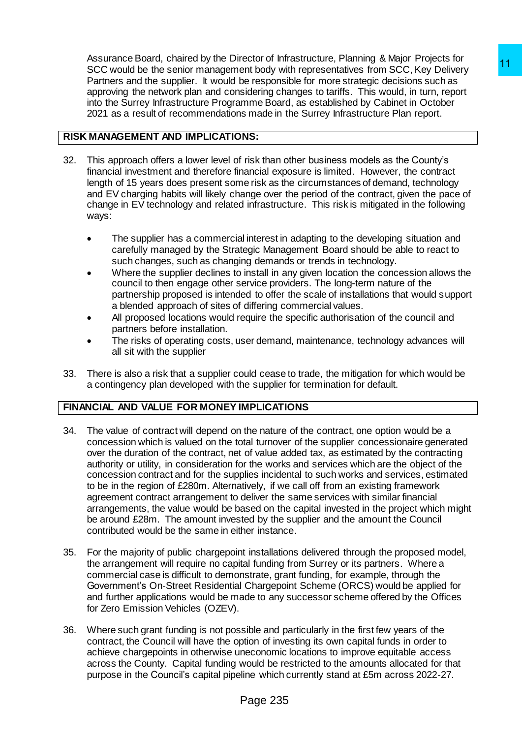Assurance Board, chaired by the Director of Infrastructure, Planning & Major Projects for SCC would be the senior management body with representatives from SCC, Key Delivery Partners and the supplier. It would be responsible for more strategic decisions such as approving the network plan and considering changes to tariffs. This would, in turn, report into the Surrey Infrastructure Programme Board, as established by Cabinet in October 2021 as a result of recommendations made in the Surrey Infrastructure Plan report.

# **RISK MANAGEMENT AND IMPLICATIONS:**

- 32. This approach offers a lower level of risk than other business models as the County's financial investment and therefore financial exposure is limited. However, the contract length of 15 years does present some risk as the circumstances of demand, technology and EV charging habits will likely change over the period of the contract, given the pace of change in EV technology and related infrastructure. This risk is mitigated in the following ways:
	- The supplier has a commercial interest in adapting to the developing situation and carefully managed by the Strategic Management Board should be able to react to such changes, such as changing demands or trends in technology.
	- Where the supplier declines to install in any given location the concession allows the council to then engage other service providers. The long-term nature of the partnership proposed is intended to offer the scale of installations that would support a blended approach of sites of differing commercial values.
	- All proposed locations would require the specific authorisation of the council and partners before installation.
	- The risks of operating costs, user demand, maintenance, technology advances will all sit with the supplier
- 33. There is also a risk that a supplier could cease to trade, the mitigation for which would be a contingency plan developed with the supplier for termination for default.

# **FINANCIAL AND VALUE FOR MONEY IMPLICATIONS**

- 34. The value of contract will depend on the nature of the contract, one option would be a concession which is valued on the total turnover of the supplier concessionaire generated over the duration of the contract, net of value added tax, as estimated by the contracting authority or utility, in consideration for the works and services which are the object of the concession contract and for the supplies incidental to such works and services, estimated to be in the region of £280m. Alternatively, if we call off from an existing framework agreement contract arrangement to deliver the same services with similar financial arrangements, the value would be based on the capital invested in the project which might be around £28m. The amount invested by the supplier and the amount the Council contributed would be the same in either instance. ection<br>and the measurements of models and the proposarion set of the measurements of the measurements of the models and the measurements of the measurement band states of the states of the states of the states of the state
- 35. For the majority of public chargepoint installations delivered through the proposed model, the arrangement will require no capital funding from Surrey or its partners. Where a commercial case is difficult to demonstrate, grant funding, for example, through the Government's On-Street Residential Chargepoint Scheme (ORCS) would be applied for and further applications would be made to any successor scheme offered by the Offices for Zero Emission Vehicles (OZEV).
- 36. Where such grant funding is not possible and particularly in the first few years of the contract, the Council will have the option of investing its own capital funds in order to achieve chargepoints in otherwise uneconomic locations to improve equitable access across the County. Capital funding would be restricted to the amounts allocated for that purpose in the Council's capital pipeline which currently stand at £5m across 2022-27.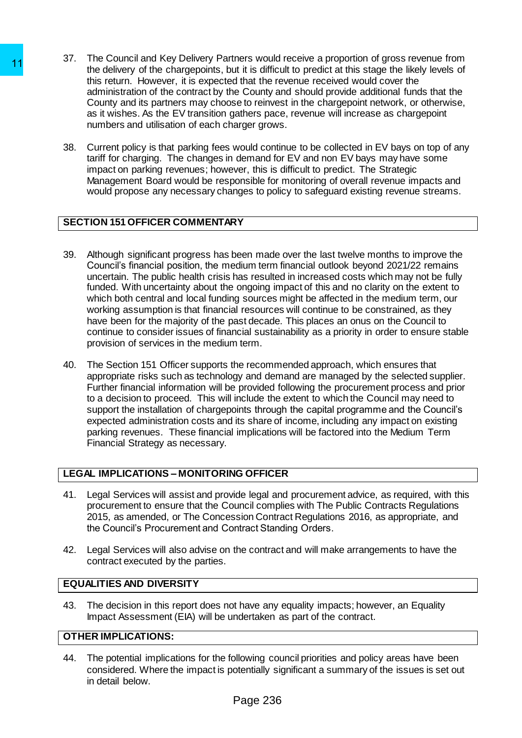- 37. The Council and Key Delivery Partners would receive a proportion of gross revenue from the delivery of the chargepoints, but it is difficult to predict at this stage the likely levels of this return. However, it is expected that the revenue received would cover the administration of the contract by the County and should provide additional funds that the County and its partners may choose to reinvest in the chargepoint network, or otherwise, as it wishes. As the EV transition gathers pace, revenue will increase as chargepoint numbers and utilisation of each charger grows.
- 38. Current policy is that parking fees would continue to be collected in EV bays on top of any tariff for charging. The changes in demand for EV and non EV bays may have some impact on parking revenues; however, this is difficult to predict. The Strategic Management Board would be responsible for monitoring of overall revenue impacts and would propose any necessary changes to policy to safeguard existing revenue streams.

# **SECTION 151 OFFICER COMMENTARY**

- 39. Although significant progress has been made over the last twelve months to improve the Council's financial position, the medium term financial outlook beyond 2021/22 remains uncertain. The public health crisis has resulted in increased costs which may not be fully funded. With uncertainty about the ongoing impact of this and no clarity on the extent to which both central and local funding sources might be affected in the medium term, our working assumption is that financial resources will continue to be constrained, as they have been for the majority of the past decade. This places an onus on the Council to continue to consider issues of financial sustainability as a priority in order to ensure stable provision of services in the medium term. 11<br>
The delivery of the chargepoins, but it is different<br>
the delivery of the charged points, but it is different<br>
the relation However, it is expected that the recommendation<br>
and inference and utilisation of each contrac
	- 40. The Section 151 Officer supports the recommended approach, which ensures that appropriate risks such as technology and demand are managed by the selected supplier. Further financial information will be provided following the procurement process and prior to a decision to proceed. This will include the extent to which the Council may need to support the installation of chargepoints through the capital programme and the Council's expected administration costs and its share of income, including any impact on existing parking revenues. These financial implications will be factored into the Medium Term Financial Strategy as necessary.

# **LEGAL IMPLICATIONS – MONITORING OFFICER**

- 41. Legal Services will assist and provide legal and procurement advice, as required, with this procurement to ensure that the Council complies with The Public Contracts Regulations 2015, as amended, or The Concession Contract Regulations 2016, as appropriate, and the Council's Procurement and Contract Standing Orders.
- 42. Legal Services will also advise on the contract and will make arrangements to have the contract executed by the parties.

## **EQUALITIES AND DIVERSITY**

43. The decision in this report does not have any equality impacts; however, an Equality Impact Assessment (EIA) will be undertaken as part of the contract.

# **OTHER IMPLICATIONS:**

44. The potential implications for the following council priorities and policy areas have been considered. Where the impact is potentially significant a summary of the issues is set out in detail below.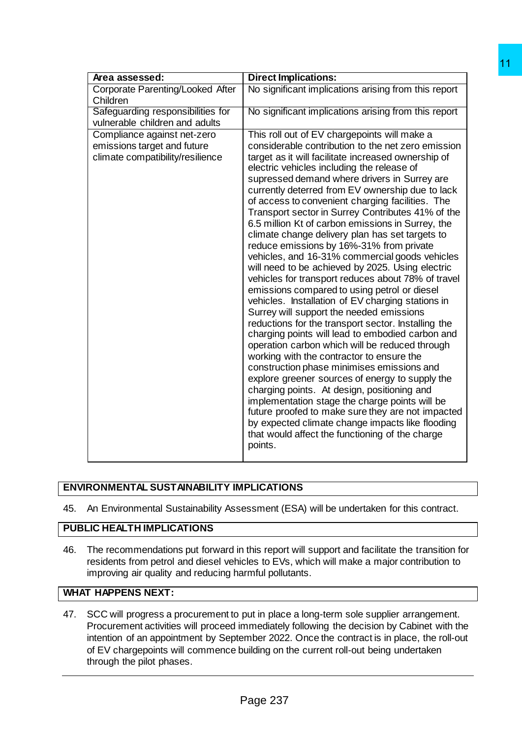| Area assessed:                                                                                 | <b>Direct Implications:</b>                                                                                                                                                                                                                                                                                                                                                                                                                                                                                                                                                                                                                                                                                                                                                                                                                                                                                                                                                                                                                                                                                                                                                                                                                                                                                                                                                                                                                                              |
|------------------------------------------------------------------------------------------------|--------------------------------------------------------------------------------------------------------------------------------------------------------------------------------------------------------------------------------------------------------------------------------------------------------------------------------------------------------------------------------------------------------------------------------------------------------------------------------------------------------------------------------------------------------------------------------------------------------------------------------------------------------------------------------------------------------------------------------------------------------------------------------------------------------------------------------------------------------------------------------------------------------------------------------------------------------------------------------------------------------------------------------------------------------------------------------------------------------------------------------------------------------------------------------------------------------------------------------------------------------------------------------------------------------------------------------------------------------------------------------------------------------------------------------------------------------------------------|
| Corporate Parenting/Looked After                                                               | No significant implications arising from this report                                                                                                                                                                                                                                                                                                                                                                                                                                                                                                                                                                                                                                                                                                                                                                                                                                                                                                                                                                                                                                                                                                                                                                                                                                                                                                                                                                                                                     |
| Children                                                                                       |                                                                                                                                                                                                                                                                                                                                                                                                                                                                                                                                                                                                                                                                                                                                                                                                                                                                                                                                                                                                                                                                                                                                                                                                                                                                                                                                                                                                                                                                          |
| Safeguarding responsibilities for<br>vulnerable children and adults                            | No significant implications arising from this report                                                                                                                                                                                                                                                                                                                                                                                                                                                                                                                                                                                                                                                                                                                                                                                                                                                                                                                                                                                                                                                                                                                                                                                                                                                                                                                                                                                                                     |
|                                                                                                |                                                                                                                                                                                                                                                                                                                                                                                                                                                                                                                                                                                                                                                                                                                                                                                                                                                                                                                                                                                                                                                                                                                                                                                                                                                                                                                                                                                                                                                                          |
| Compliance against net-zero<br>emissions target and future<br>climate compatibility/resilience | This roll out of EV chargepoints will make a<br>considerable contribution to the net zero emission<br>target as it will facilitate increased ownership of<br>electric vehicles including the release of<br>supressed demand where drivers in Surrey are<br>currently deterred from EV ownership due to lack<br>of access to convenient charging facilities. The<br>Transport sector in Surrey Contributes 41% of the<br>6.5 million Kt of carbon emissions in Surrey, the<br>climate change delivery plan has set targets to<br>reduce emissions by 16%-31% from private<br>vehicles, and 16-31% commercial goods vehicles<br>will need to be achieved by 2025. Using electric<br>vehicles for transport reduces about 78% of travel<br>emissions compared to using petrol or diesel<br>vehicles. Installation of EV charging stations in<br>Surrey will support the needed emissions<br>reductions for the transport sector. Installing the<br>charging points will lead to embodied carbon and<br>operation carbon which will be reduced through<br>working with the contractor to ensure the<br>construction phase minimises emissions and<br>explore greener sources of energy to supply the<br>charging points. At design, positioning and<br>implementation stage the charge points will be<br>future proofed to make sure they are not impacted<br>by expected climate change impacts like flooding<br>that would affect the functioning of the charge<br>points. |
| RONMENTAL SUSTAINABILITY IMPLICATIONS                                                          |                                                                                                                                                                                                                                                                                                                                                                                                                                                                                                                                                                                                                                                                                                                                                                                                                                                                                                                                                                                                                                                                                                                                                                                                                                                                                                                                                                                                                                                                          |
|                                                                                                | An Environmental Sustainability Assessment (ESA) will be undertaken for this contract.                                                                                                                                                                                                                                                                                                                                                                                                                                                                                                                                                                                                                                                                                                                                                                                                                                                                                                                                                                                                                                                                                                                                                                                                                                                                                                                                                                                   |
|                                                                                                |                                                                                                                                                                                                                                                                                                                                                                                                                                                                                                                                                                                                                                                                                                                                                                                                                                                                                                                                                                                                                                                                                                                                                                                                                                                                                                                                                                                                                                                                          |
| <b>IC HEALTH IMPLICATIONS</b>                                                                  |                                                                                                                                                                                                                                                                                                                                                                                                                                                                                                                                                                                                                                                                                                                                                                                                                                                                                                                                                                                                                                                                                                                                                                                                                                                                                                                                                                                                                                                                          |
| mproving air quality and reducing harmful pollutants.                                          | The recommendations put forward in this report will support and facilitate the transition for<br>residents from petrol and diesel vehicles to EVs, which will make a major contribution to                                                                                                                                                                                                                                                                                                                                                                                                                                                                                                                                                                                                                                                                                                                                                                                                                                                                                                                                                                                                                                                                                                                                                                                                                                                                               |
| <b>HAPPENS NEXT:</b>                                                                           |                                                                                                                                                                                                                                                                                                                                                                                                                                                                                                                                                                                                                                                                                                                                                                                                                                                                                                                                                                                                                                                                                                                                                                                                                                                                                                                                                                                                                                                                          |
| through the pilot phases.                                                                      | SCC will progress a procurement to put in place a long-term sole supplier arrangement.<br>Procurement activities will proceed immediately following the decision by Cabinet with the<br>ntention of an appointment by September 2022. Once the contract is in place, the roll-out<br>of EV chargepoints will commence building on the current roll-out being undertaken                                                                                                                                                                                                                                                                                                                                                                                                                                                                                                                                                                                                                                                                                                                                                                                                                                                                                                                                                                                                                                                                                                  |
|                                                                                                |                                                                                                                                                                                                                                                                                                                                                                                                                                                                                                                                                                                                                                                                                                                                                                                                                                                                                                                                                                                                                                                                                                                                                                                                                                                                                                                                                                                                                                                                          |
|                                                                                                |                                                                                                                                                                                                                                                                                                                                                                                                                                                                                                                                                                                                                                                                                                                                                                                                                                                                                                                                                                                                                                                                                                                                                                                                                                                                                                                                                                                                                                                                          |
|                                                                                                | Page 237                                                                                                                                                                                                                                                                                                                                                                                                                                                                                                                                                                                                                                                                                                                                                                                                                                                                                                                                                                                                                                                                                                                                                                                                                                                                                                                                                                                                                                                                 |

# **ENVIRONMENTAL SUSTAINABILITY IMPLICATIONS**

45. An Environmental Sustainability Assessment (ESA) will be undertaken for this contract.

# **PUBLIC HEALTH IMPLICATIONS**

46. The recommendations put forward in this report will support and facilitate the transition for residents from petrol and diesel vehicles to EVs, which will make a major contribution to improving air quality and reducing harmful pollutants.

# **WHAT HAPPENS NEXT:**

47. SCC will progress a procurement to put in place a long-term sole supplier arrangement. Procurement activities will proceed immediately following the decision by Cabinet with the intention of an appointment by September 2022. Once the contract is in place, the roll-out of EV chargepoints will commence building on the current roll-out being undertaken through the pilot phases.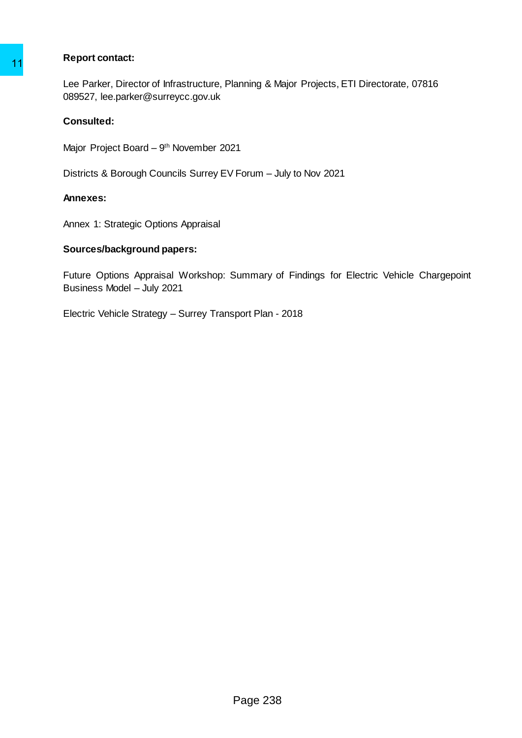## **Report contact:**

Lee Parker, Director of Infrastructure, Planning & Major Projects, ETI Directorate*,* 07816 089527, lee.parker@surreycc.gov.uk 11<br>Lee Parkier, Director of Infrastructure, Planning & M<br>
089527, lee, parker @surreycc.gov.uk<br>
Consulted:<br>
Mejor Project Board – 9<sup>th</sup> November 2021<br>
Districts & Borough Councils Surrey EV Forum – Jt<br> **Annexes:**<br>
Annexes:

## **Consulted:**

Major Project Board – 9<sup>th</sup> November 2021

Districts & Borough Councils Surrey EV Forum – July to Nov 2021

#### **Annexes:**

Annex 1: Strategic Options Appraisal

#### **Sources/background papers:**

Future Options Appraisal Workshop: Summary of Findings for Electric Vehicle Chargepoint Business Model – July 2021

Electric Vehicle Strategy – Surrey Transport Plan - 2018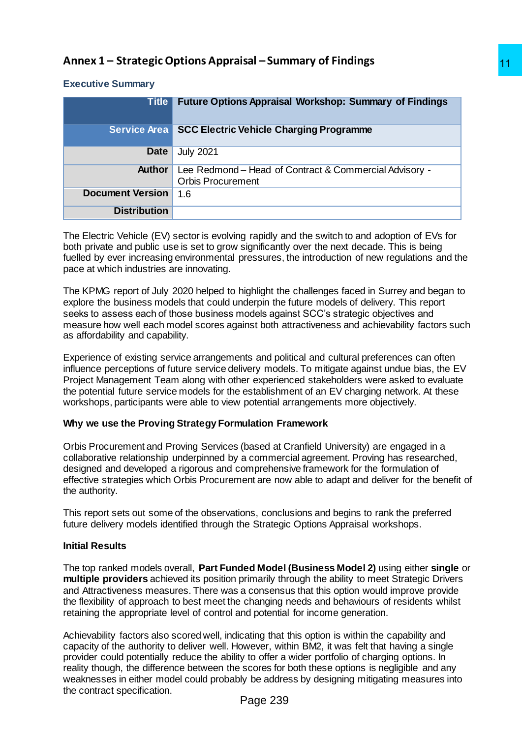# **Executive Summary**

| <b>Executive Summary</b>                 |                                                                                                                                                                                                                                                                                                                                                                                                                                                                                                                      |
|------------------------------------------|----------------------------------------------------------------------------------------------------------------------------------------------------------------------------------------------------------------------------------------------------------------------------------------------------------------------------------------------------------------------------------------------------------------------------------------------------------------------------------------------------------------------|
| <b>Title</b>                             | <b>Future Options Appraisal Workshop: Summary of Findings</b>                                                                                                                                                                                                                                                                                                                                                                                                                                                        |
| <b>Service Area</b>                      | <b>SCC Electric Vehicle Charging Programme</b>                                                                                                                                                                                                                                                                                                                                                                                                                                                                       |
| <b>Date</b>                              | <b>July 2021</b>                                                                                                                                                                                                                                                                                                                                                                                                                                                                                                     |
| Author                                   | Lee Redmond - Head of Contract & Commercial Advisory -<br><b>Orbis Procurement</b>                                                                                                                                                                                                                                                                                                                                                                                                                                   |
| <b>Document Version</b>                  | 1.6                                                                                                                                                                                                                                                                                                                                                                                                                                                                                                                  |
| <b>Distribution</b>                      |                                                                                                                                                                                                                                                                                                                                                                                                                                                                                                                      |
| pace at which industries are innovating. | The Electric Vehicle (EV) sector is evolving rapidly and the switch to and adoption of EVs for<br>both private and public use is set to grow significantly over the next decade. This is being<br>fuelled by ever increasing environmental pressures, the introduction of new regulations and the                                                                                                                                                                                                                    |
| as affordability and capability.         | The KPMG report of July 2020 helped to highlight the challenges faced in Surrey and began to<br>explore the business models that could underpin the future models of delivery. This report<br>seeks to assess each of those business models against SCC's strategic objectives and<br>measure how well each model scores against both attractiveness and achievability factors such                                                                                                                                  |
|                                          | Experience of existing service arrangements and political and cultural preferences can often<br>influence perceptions of future service delivery models. To mitigate against undue bias, the EV<br>Project Management Team along with other experienced stakeholders were asked to evaluate<br>the potential future service models for the establishment of an EV charging network. At these<br>workshops, participants were able to view potential arrangements more objectively.                                   |
|                                          | Why we use the Proving Strategy Formulation Framework                                                                                                                                                                                                                                                                                                                                                                                                                                                                |
| the authority.                           | Orbis Procurement and Proving Services (based at Cranfield University) are engaged in a<br>collaborative relationship underpinned by a commercial agreement. Proving has researched,<br>designed and developed a rigorous and comprehensive framework for the formulation of<br>effective strategies which Orbis Procurement are now able to adapt and deliver for the benefit of                                                                                                                                    |
|                                          | This report sets out some of the observations, conclusions and begins to rank the preferred<br>future delivery models identified through the Strategic Options Appraisal workshops.                                                                                                                                                                                                                                                                                                                                  |
| <b>Initial Results</b>                   |                                                                                                                                                                                                                                                                                                                                                                                                                                                                                                                      |
|                                          | The top ranked models overall, Part Funded Model (Business Model 2) using either single or<br>multiple providers achieved its position primarily through the ability to meet Strategic Drivers<br>and Attractiveness measures. There was a consensus that this option would improve provide<br>the flexibility of approach to best meet the changing needs and behaviours of residents whilst<br>retaining the appropriate level of control and potential for income generation.                                     |
| the contract specification.              | Achievability factors also scored well, indicating that this option is within the capability and<br>capacity of the authority to deliver well. However, within BM2, it was felt that having a single<br>provider could potentially reduce the ability to offer a wider portfolio of charging options. In<br>reality though, the difference between the scores for both these options is negligible and any<br>weaknesses in either model could probably be address by designing mitigating measures into<br>Page 239 |

# **Why we use the Proving Strategy Formulation Framework**

# **Initial Results**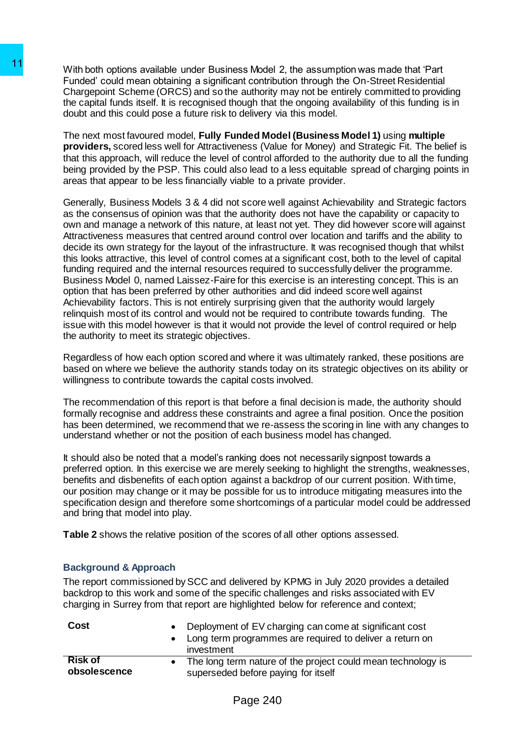With both options available under Business Model 2, the assumption was made that 'Part Funded' could mean obtaining a significant contribution through the On-Street Residential Chargepoint Scheme (ORCS) and so the authority may not be entirely committed to providing the capital funds itself. It is recognised though that the ongoing availability of this funding is in doubt and this could pose a future risk to delivery via this model.

The next most favoured model, **Fully Funded Model (Business Model 1)** using **multiple providers,** scored less well for Attractiveness (Value for Money) and Strategic Fit. The belief is that this approach, will reduce the level of control afforded to the authority due to all the funding being provided by the PSP. This could also lead to a less equitable spread of charging points in areas that appear to be less financially viable to a private provider.

Generally, Business Models 3 & 4 did not score well against Achievability and Strategic factors as the consensus of opinion was that the authority does not have the capability or capacity to own and manage a network of this nature, at least not yet. They did however score will against Attractiveness measures that centred around control over location and tariffs and the ability to decide its own strategy for the layout of the infrastructure. It was recognised though that whilst this looks attractive, this level of control comes at a significant cost, both to the level of capital funding required and the internal resources required to successfully deliver the programme. Business Model 0, named Laissez-Faire for this exercise is an interesting concept. This is an option that has been preferred by other authorities and did indeed score well against Achievability factors. This is not entirely surprising given that the authority would largely relinquish most of its control and would not be required to contribute towards funding. The issue with this model however is that it would not provide the level of control required or help the authority to meet its strategic objectives. 11 With both options available under Business Model Articled cold mean obtaining a significant contribution of the capping of the capping of the capping of the capping of the capping of the capping of the capping of the ca

Regardless of how each option scored and where it was ultimately ranked, these positions are based on where we believe the authority stands today on its strategic objectives on its ability or willingness to contribute towards the capital costs involved.

The recommendation of this report is that before a final decision is made, the authority should formally recognise and address these constraints and agree a final position. Once the position has been determined, we recommend that we re-assess the scoring in line with any changes to understand whether or not the position of each business model has changed.

It should also be noted that a model's ranking does not necessarily signpost towards a preferred option. In this exercise we are merely seeking to highlight the strengths, weaknesses, benefits and disbenefits of each option against a backdrop of our current position. With time, our position may change or it may be possible for us to introduce mitigating measures into the specification design and therefore some shortcomings of a particular model could be addressed and bring that model into play.

**Table 2** shows the relative position of the scores of all other options assessed.

## **Background & Approach**

The report commissioned by SCC and delivered by KPMG in July 2020 provides a detailed backdrop to this work and some of the specific challenges and risks associated with EV charging in Surrey from that report are highlighted below for reference and context;

| Cost                           | • Deployment of EV charging can come at significant cost<br>• Long term programmes are required to deliver a return on<br>investment |
|--------------------------------|--------------------------------------------------------------------------------------------------------------------------------------|
| <b>Risk of</b><br>obsolescence | • The long term nature of the project could mean technology is<br>superseded before paying for itself                                |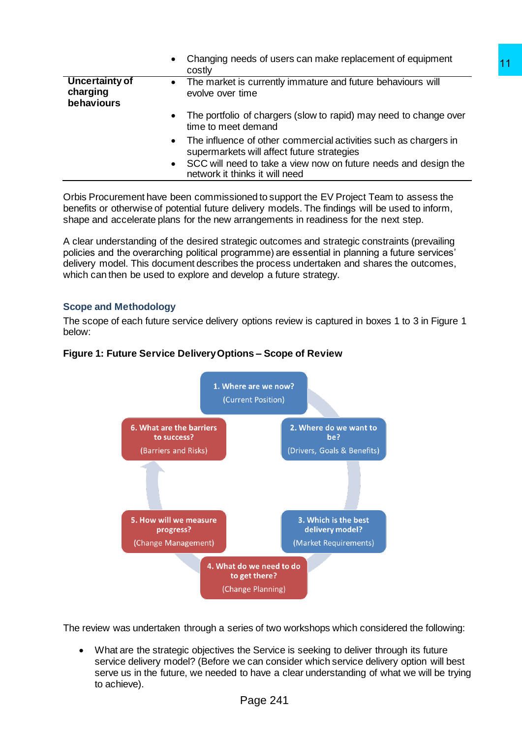|                                                 | Changing needs of users can make replacement of equipment<br>$\bullet$<br>costly                                            |
|-------------------------------------------------|-----------------------------------------------------------------------------------------------------------------------------|
| <b>Uncertainty of</b><br>charging<br>behaviours | The market is currently immature and future behaviours will<br>$\bullet$<br>evolve over time                                |
|                                                 | The portfolio of chargers (slow to rapid) may need to change over<br>$\bullet$<br>time to meet demand                       |
|                                                 | The influence of other commercial activities such as chargers in<br>$\bullet$<br>supermarkets will affect future strategies |
|                                                 | SCC will need to take a view now on future needs and design the<br>$\bullet$<br>network it thinks it will need              |

Orbis Procurement have been commissioned to support the EV Project Team to assess the benefits or otherwise of potential future delivery models. The findings will be used to inform, shape and accelerate plans for the new arrangements in readiness for the next step.

A clear understanding of the desired strategic outcomes and strategic constraints (prevailing policies and the overarching political programme) are essential in planning a future services' delivery model. This document describes the process undertaken and shares the outcomes, which can then be used to explore and develop a future strategy.

## **Scope and Methodology**

The scope of each future service delivery options review is captured in boxes 1 to 3 in Figure 1 below:

## **Figure 1: Future Service Delivery Options – Scope of Review**



The review was undertaken through a series of two workshops which considered the following:

 What are the strategic objectives the Service is seeking to deliver through its future service delivery model? (Before we can consider which service delivery option will best serve us in the future, we needed to have a clear understanding of what we will be trying to achieve).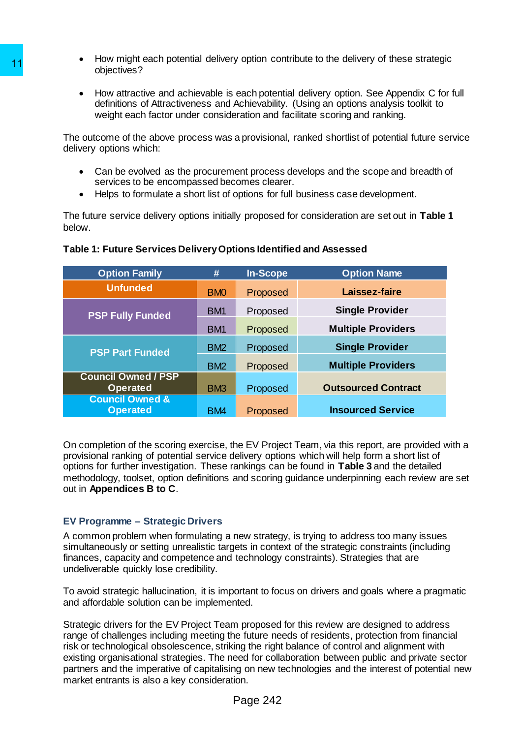- How might each potential delivery option contribute to the delivery of these strategic objectives?
- How attractive and achievable is each potential delivery option. See Appendix C for full definitions of Attractiveness and Achievability. (Using an options analysis toolkit to weight each factor under consideration and facilitate scoring and ranking.

The outcome of the above process was a provisional, ranked shortlist of potential future service delivery options which:

- Can be evolved as the procurement process develops and the scope and breadth of services to be encompassed becomes clearer.
- Helps to formulate a short list of options for full business case development.

| objectives?                                                                                                                   |                 |                 | <u>TIOW THIQHE CACH DOLCHINAL GENVELY ODIIOH CONTINUATE TO THE GENVELY OF THESE STRATEGI</u>                                                                                                                                                                                                                                                                                                |
|-------------------------------------------------------------------------------------------------------------------------------|-----------------|-----------------|---------------------------------------------------------------------------------------------------------------------------------------------------------------------------------------------------------------------------------------------------------------------------------------------------------------------------------------------------------------------------------------------|
|                                                                                                                               |                 |                 | How attractive and achievable is each potential delivery option. See Appendix C for<br>definitions of Attractiveness and Achievability. (Using an options analysis toolkit to<br>weight each factor under consideration and facilitate scoring and ranking.                                                                                                                                 |
| delivery options which:                                                                                                       |                 |                 | The outcome of the above process was a provisional, ranked shortlist of potential future se                                                                                                                                                                                                                                                                                                 |
| services to be encompassed becomes clearer.                                                                                   |                 |                 | Can be evolved as the procurement process develops and the scope and breadth of<br>Helps to formulate a short list of options for full business case development.                                                                                                                                                                                                                           |
| below.                                                                                                                        |                 |                 | The future service delivery options initially proposed for consideration are set out in Table                                                                                                                                                                                                                                                                                               |
| Table 1: Future Services Delivery Options Identified and Assessed                                                             |                 |                 |                                                                                                                                                                                                                                                                                                                                                                                             |
| <b>Option Family</b>                                                                                                          | #               | <b>In-Scope</b> | <b>Option Name</b>                                                                                                                                                                                                                                                                                                                                                                          |
| <b>Unfunded</b>                                                                                                               | <b>BMO</b>      | Proposed        | Laissez-faire                                                                                                                                                                                                                                                                                                                                                                               |
| <b>PSP Fully Funded</b>                                                                                                       | BM1             | Proposed        | <b>Single Provider</b>                                                                                                                                                                                                                                                                                                                                                                      |
|                                                                                                                               | BM <sub>1</sub> | Proposed        | <b>Multiple Providers</b>                                                                                                                                                                                                                                                                                                                                                                   |
| <b>PSP Part Funded</b>                                                                                                        | BM <sub>2</sub> | Proposed        | <b>Single Provider</b>                                                                                                                                                                                                                                                                                                                                                                      |
|                                                                                                                               | BM <sub>2</sub> | Proposed        | <b>Multiple Providers</b>                                                                                                                                                                                                                                                                                                                                                                   |
| <b>Council Owned / PSP</b><br><b>Operated</b>                                                                                 | BM <sub>3</sub> | Proposed        | <b>Outsourced Contract</b>                                                                                                                                                                                                                                                                                                                                                                  |
| <b>Council Owned &amp;</b>                                                                                                    |                 |                 |                                                                                                                                                                                                                                                                                                                                                                                             |
| <b>Operated</b>                                                                                                               | BM4             | Proposed        | <b>Insourced Service</b>                                                                                                                                                                                                                                                                                                                                                                    |
| out in Appendices B to C.<br><b>EV Programme - Strategic Drivers</b>                                                          |                 |                 | On completion of the scoring exercise, the EV Project Team, via this report, are provided v<br>provisional ranking of potential service delivery options which will help form a short list of<br>options for further investigation. These rankings can be found in Table 3 and the detailed<br>methodology, toolset, option definitions and scoring guidance underpinning each review are   |
| finances, capacity and competence and technology constraints). Strategies that are<br>undeliverable quickly lose credibility. |                 |                 | A common problem when formulating a new strategy, is trying to address too many issues<br>simultaneously or setting unrealistic targets in context of the strategic constraints (including                                                                                                                                                                                                  |
| and affordable solution can be implemented.                                                                                   |                 |                 | To avoid strategic hallucination, it is important to focus on drivers and goals where a pragn                                                                                                                                                                                                                                                                                               |
| Strategic drivers for the EV Project Team proposed for this review are designed to address                                    |                 |                 |                                                                                                                                                                                                                                                                                                                                                                                             |
| market entrants is also a key consideration.                                                                                  |                 |                 | range of challenges including meeting the future needs of residents, protection from financ<br>risk or technological obsolescence, striking the right balance of control and alignment with<br>existing organisational strategies. The need for collaboration between public and private so<br>partners and the imperative of capitalising on new technologies and the interest of potentia |

## **Table 1: Future Services Delivery Options Identified and Assessed**

On completion of the scoring exercise, the EV Project Team, via this report, are provided with a provisional ranking of potential service delivery options which will help form a short list of options for further investigation. These rankings can be found in **Table 3** and the detailed methodology, toolset, option definitions and scoring guidance underpinning each review are set out in **Appendices B to C**.

# **EV Programme – Strategic Drivers**

To avoid strategic hallucination, it is important to focus on drivers and goals where a pragmatic and affordable solution can be implemented.

Strategic drivers for the EV Project Team proposed for this review are designed to address range of challenges including meeting the future needs of residents, protection from financial risk or technological obsolescence, striking the right balance of control and alignment with existing organisational strategies. The need for collaboration between public and private sector partners and the imperative of capitalising on new technologies and the interest of potential new market entrants is also a key consideration.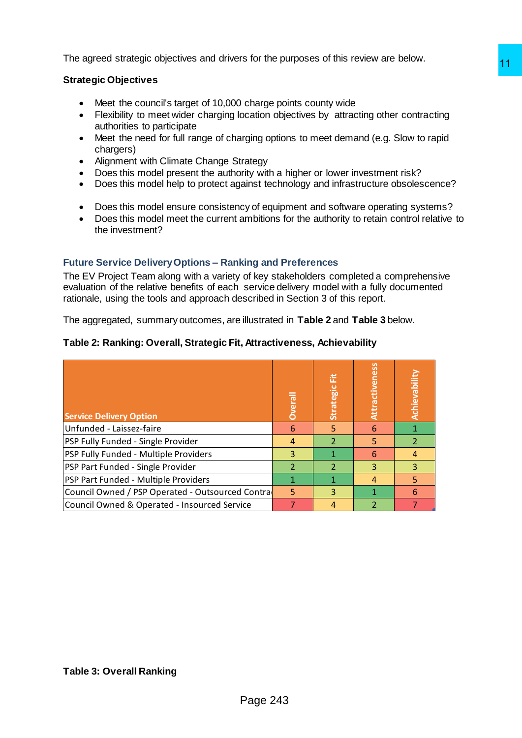The agreed strategic objectives and drivers for the purposes of this review are below.

## **Strategic Objectives**

- Meet the council's target of 10,000 charge points county wide
- Flexibility to meet wider charging location objectives by attracting other contracting authorities to participate
- Meet the need for full range of charging options to meet demand (e.g. Slow to rapid chargers)
- Alignment with Climate Change Strategy
- Does this model present the authority with a higher or lower investment risk?
- Does this model help to protect against technology and infrastructure obsolescence?
- Does this model ensure consistency of equipment and software operating systems?
- Does this model meet the current ambitions for the authority to retain control relative to the investment?

## **Future Service Delivery Options – Ranking and Preferences**

## **Table 2: Ranking: Overall, Strategic Fit, Attractiveness, Achievability**

| <b>Strategic Objectives</b><br>Meet the council's target of 10,000 charge points county wide<br>$\bullet$<br>Flexibility to meet wider charging location objectives by attracting other contracting<br>$\bullet$<br>authorities to participate<br>Meet the need for full range of charging options to meet demand (e.g. Slow to rapid<br>$\bullet$<br>chargers)<br>Alignment with Climate Change Strategy<br>$\bullet$<br>Does this model present the authority with a higher or lower investment risk?<br>$\bullet$<br>Does this model help to protect against technology and infrastructure obsolescence?<br>$\bullet$<br>Does this model ensure consistency of equipment and software operating systems?<br>٠<br>Does this model meet the current ambitions for the authority to retain control relative to<br>the investment?<br>Attractiveness |
|-----------------------------------------------------------------------------------------------------------------------------------------------------------------------------------------------------------------------------------------------------------------------------------------------------------------------------------------------------------------------------------------------------------------------------------------------------------------------------------------------------------------------------------------------------------------------------------------------------------------------------------------------------------------------------------------------------------------------------------------------------------------------------------------------------------------------------------------------------|
|                                                                                                                                                                                                                                                                                                                                                                                                                                                                                                                                                                                                                                                                                                                                                                                                                                                     |
| <b>Future Service Delivery Options - Ranking and Preferences</b><br>The EV Project Team along with a variety of key stakeholders completed a comprehensive<br>evaluation of the relative benefits of each service delivery model with a fully documented<br>rationale, using the tools and approach described in Section 3 of this report.<br>The aggregated, summary outcomes, are illustrated in Table 2 and Table 3 below.<br>Table 2: Ranking: Overall, Strategic Fit, Attractiveness, Achievability                                                                                                                                                                                                                                                                                                                                            |
|                                                                                                                                                                                                                                                                                                                                                                                                                                                                                                                                                                                                                                                                                                                                                                                                                                                     |
|                                                                                                                                                                                                                                                                                                                                                                                                                                                                                                                                                                                                                                                                                                                                                                                                                                                     |
| Achievability<br>Strategic Fit<br>Overall                                                                                                                                                                                                                                                                                                                                                                                                                                                                                                                                                                                                                                                                                                                                                                                                           |
| <b>Service Delivery Option</b>                                                                                                                                                                                                                                                                                                                                                                                                                                                                                                                                                                                                                                                                                                                                                                                                                      |
| 5<br>$\overline{1}$<br>$6\phantom{1}6$<br>$6\phantom{1}$<br>Unfunded - Laissez-faire<br>$\overline{2}$                                                                                                                                                                                                                                                                                                                                                                                                                                                                                                                                                                                                                                                                                                                                              |
| $\overline{2}$<br>PSP Fully Funded - Single Provider<br>$\overline{4}$<br>5<br>$\overline{1}$<br>$\overline{6}$<br>PSP Fully Funded - Multiple Providers<br>3<br>$\overline{\mathbf{4}}$                                                                                                                                                                                                                                                                                                                                                                                                                                                                                                                                                                                                                                                            |
| PSP Part Funded - Single Provider<br>2<br>3<br>$\overline{2}$<br>3                                                                                                                                                                                                                                                                                                                                                                                                                                                                                                                                                                                                                                                                                                                                                                                  |
| PSP Part Funded - Multiple Providers<br>$\mathbf{1}$<br>$\mathbf{1}$<br>5<br>$\overline{a}$                                                                                                                                                                                                                                                                                                                                                                                                                                                                                                                                                                                                                                                                                                                                                         |
| Council Owned / PSP Operated - Outsourced Contra<br>5<br>3<br>$\mathbf{1}$<br>6                                                                                                                                                                                                                                                                                                                                                                                                                                                                                                                                                                                                                                                                                                                                                                     |
| Council Owned & Operated - Insourced Service<br>$\overline{7}$<br>4<br>$\overline{2}$<br>$\overline{7}$                                                                                                                                                                                                                                                                                                                                                                                                                                                                                                                                                                                                                                                                                                                                             |